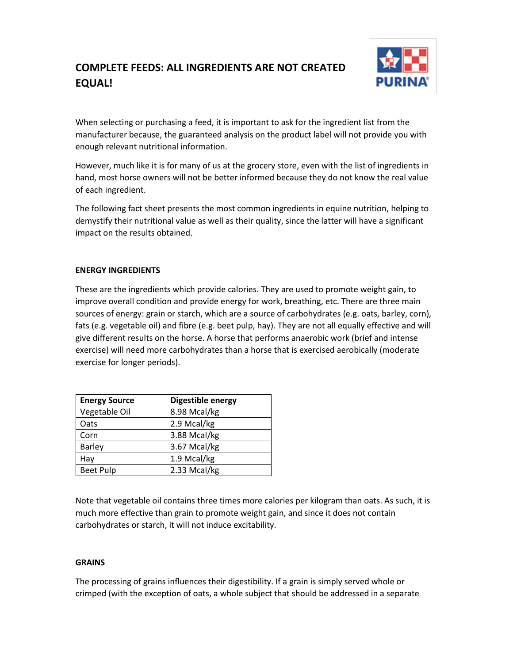# **COMPLETE FEEDS: ALL INGREDIENTS ARE NOT CREATED EQUAL!**



When selecting or purchasing a feed, it is important to ask for the ingredient list from the manufacturer because, the guaranteed analysis on the product label will not provide you with enough relevant nutritional information.

However, much like it is for many of us at the grocery store, even with the list of ingredients in hand, most horse owners will not be better informed because they do not know the real value of each ingredient.

The following fact sheet presents the most common ingredients in equine nutrition, helping to demystify their nutritional value as well as their quality, since the latter will have a significant impact on the results obtained.

## **ENERGY INGREDIENTS**

These are the ingredients which provide calories. They are used to promote weight gain, to improve overall condition and provide energy for work, breathing, etc. There are three main sources of energy: grain or starch, which are a source of carbohydrates (e.g. oats, barley, corn), fats (e.g. vegetable oil) and fibre (e.g. beet pulp, hay). They are not all equally effective and will give different results on the horse. A horse that performs anaerobic work (brief and intense exercise) will need more carbohydrates than a horse that is exercised aerobically (moderate exercise for longer periods).

| <b>Energy Source</b> | Digestible energy |
|----------------------|-------------------|
| Vegetable Oil        | 8.98 Mcal/kg      |
| Oats                 | 2.9 Mcal/kg       |
| Corn                 | 3.88 Mcal/kg      |
| <b>Barley</b>        | 3.67 Mcal/kg      |
| Hay                  | 1.9 Mcal/kg       |
| <b>Beet Pulp</b>     | 2.33 Mcal/kg      |

Note that vegetable oil contains three times more calories per kilogram than oats. As such, it is much more effective than grain to promote weight gain, and since it does not contain carbohydrates or starch, it will not induce excitability.

## **GRAINS**

The processing of grains influences their digestibility. If a grain is simply served whole or crimped (with the exception of oats, a whole subject that should be addressed in a separate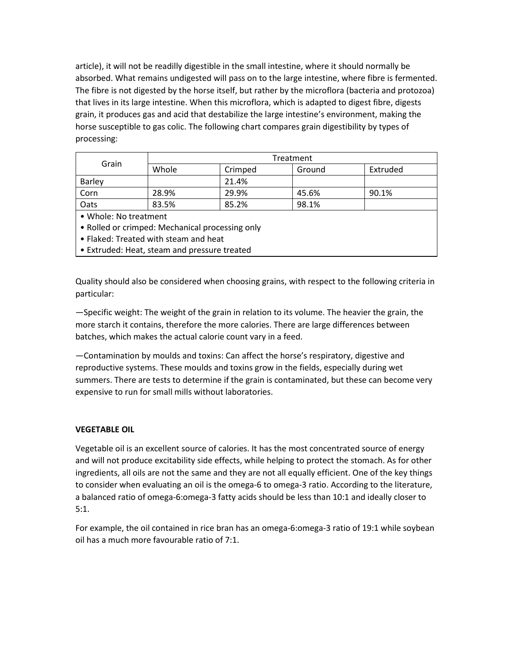article), it will not be readilly digestible in the small intestine, where it should normally be absorbed. What remains undigested will pass on to the large intestine, where fibre is fermented. The fibre is not digested by the horse itself, but rather by the microflora (bacteria and protozoa) that lives in its large intestine. When this microflora, which is adapted to digest fibre, digests grain, it produces gas and acid that destabilize the large intestine's environment, making the horse susceptible to gas colic. The following chart compares grain digestibility by types of processing:

| Grain                                           | Treatment |         |        |          |
|-------------------------------------------------|-----------|---------|--------|----------|
|                                                 | Whole     | Crimped | Ground | Extruded |
| <b>Barley</b>                                   |           | 21.4%   |        |          |
| Corn                                            | 28.9%     | 29.9%   | 45.6%  | 90.1%    |
| Oats                                            | 83.5%     | 85.2%   | 98.1%  |          |
| • Whole: No treatment                           |           |         |        |          |
| • Rolled or crimped: Mechanical processing only |           |         |        |          |

- Flaked: Treated with steam and heat
- Extruded: Heat, steam and pressure treated

Quality should also be considered when choosing grains, with respect to the following criteria in particular:

—Specific weight: The weight of the grain in relation to its volume. The heavier the grain, the more starch it contains, therefore the more calories. There are large differences between batches, which makes the actual calorie count vary in a feed.

—Contamination by moulds and toxins: Can affect the horse's respiratory, digestive and reproductive systems. These moulds and toxins grow in the fields, especially during wet summers. There are tests to determine if the grain is contaminated, but these can become very expensive to run for small mills without laboratories.

## **VEGETABLE OIL**

Vegetable oil is an excellent source of calories. It has the most concentrated source of energy and will not produce excitability side effects, while helping to protect the stomach. As for other ingredients, all oils are not the same and they are not all equally efficient. One of the key things to consider when evaluating an oil is the omega-6 to omega-3 ratio. According to the literature, a balanced ratio of omega-6:omega-3 fatty acids should be less than 10:1 and ideally closer to 5:1.

For example, the oil contained in rice bran has an omega-6:omega-3 ratio of 19:1 while soybean oil has a much more favourable ratio of 7:1.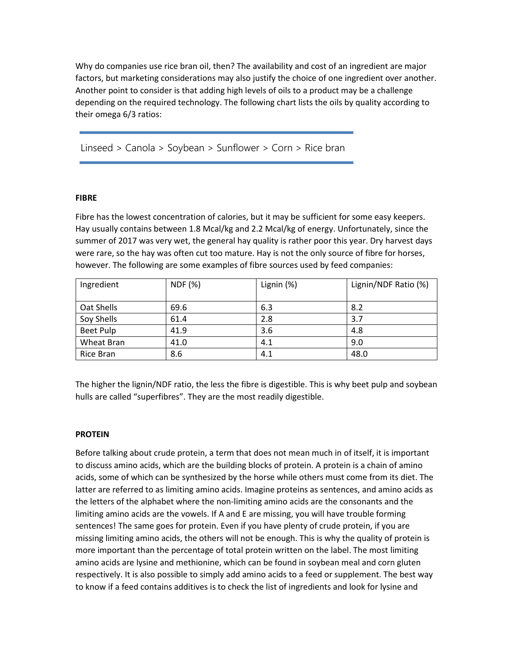Why do companies use rice bran oil, then? The availability and cost of an ingredient are major factors, but marketing considerations may also justify the choice of one ingredient over another. Another point to consider is that adding high levels of oils to a product may be a challenge depending on the required technology. The following chart lists the oils by quality according to their omega 6/3 ratios:

Linseed > Canola > Soybean > Sunflower > Corn > Rice bran

### **FIBRE**

Fibre has the lowest concentration of calories, but it may be sufficient for some easy keepers. Hay usually contains between 1.8 Mcal/kg and 2.2 Mcal/kg of energy. Unfortunately, since the summer of 2017 was very wet, the general hay quality is rather poor this year. Dry harvest days were rare, so the hay was often cut too mature. Hay is not the only source of fibre for horses, however. The following are some examples of fibre sources used by feed companies:

| Ingredient       | <b>NDF</b> (%) | Lignin (%) | Lignin/NDF Ratio (%) |
|------------------|----------------|------------|----------------------|
| Oat Shells       | 69.6           | 6.3        | 8.2                  |
| Soy Shells       | 61.4           | 2.8        | 3.7                  |
| <b>Beet Pulp</b> | 41.9           | 3.6        | 4.8                  |
| Wheat Bran       | 41.0           | 4.1        | 9.0                  |
| Rice Bran        | 8.6            | 4.1        | 48.0                 |

The higher the lignin/NDF ratio, the less the fibre is digestible. This is why beet pulp and soybean hulls are called "superfibres". They are the most readily digestible.

#### **PROTEIN**

Before talking about crude protein, a term that does not mean much in of itself, it is important to discuss amino acids, which are the building blocks of protein. A protein is a chain of amino acids, some of which can be synthesized by the horse while others must come from its diet. The latter are referred to as limiting amino acids. Imagine proteins as sentences, and amino acids as the letters of the alphabet where the non-limiting amino acids are the consonants and the limiting amino acids are the vowels. If A and E are missing, you will have trouble forming sentences! The same goes for protein. Even if you have plenty of crude protein, if you are missing limiting amino acids, the others will not be enough. This is why the quality of protein is more important than the percentage of total protein written on the label. The most limiting amino acids are lysine and methionine, which can be found in soybean meal and corn gluten respectively. It is also possible to simply add amino acids to a feed or supplement. The best way to know if a feed contains additives is to check the list of ingredients and look for lysine and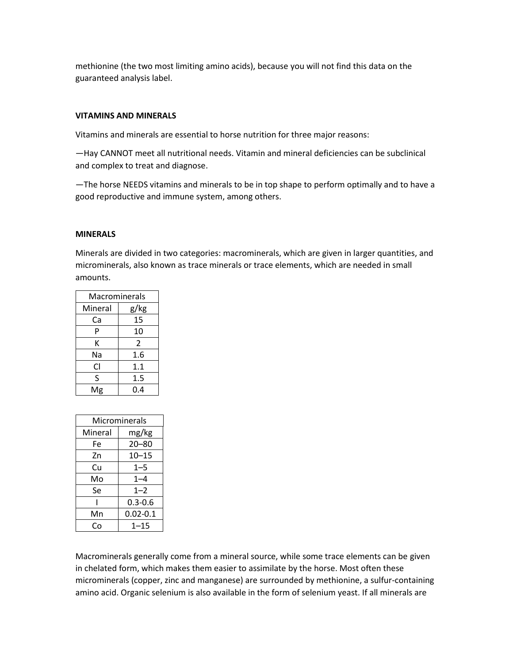methionine (the two most limiting amino acids), because you will not find this data on the guaranteed analysis label.

## **VITAMINS AND MINERALS**

Vitamins and minerals are essential to horse nutrition for three major reasons:

—Hay CANNOT meet all nutritional needs. Vitamin and mineral deficiencies can be subclinical and complex to treat and diagnose.

—The horse NEEDS vitamins and minerals to be in top shape to perform optimally and to have a good reproductive and immune system, among others.

## **MINERALS**

Minerals are divided in two categories: macrominerals, which are given in larger quantities, and microminerals, also known as trace minerals or trace elements, which are needed in small amounts.

| Macrominerals |  |  |
|---------------|--|--|
| g/kg          |  |  |
| 15            |  |  |
| 10            |  |  |
| 2             |  |  |
| 1.6           |  |  |
| 1.1           |  |  |
| 1.5           |  |  |
| 0.4           |  |  |
|               |  |  |

| Microminerals |              |  |  |
|---------------|--------------|--|--|
| Mineral       | mg/kg        |  |  |
| Fe            | $20 - 80$    |  |  |
| Zn            | $10 - 15$    |  |  |
| Cu            | $1 - 5$      |  |  |
| Mo            | $1 - 4$      |  |  |
| Se            | $1 - 2$      |  |  |
|               | $0.3 - 0.6$  |  |  |
| Mn            | $0.02 - 0.1$ |  |  |
| ۲n            | $1 - 15$     |  |  |

Macrominerals generally come from a mineral source, while some trace elements can be given in chelated form, which makes them easier to assimilate by the horse. Most often these microminerals (copper, zinc and manganese) are surrounded by methionine, a sulfur-containing amino acid. Organic selenium is also available in the form of selenium yeast. If all minerals are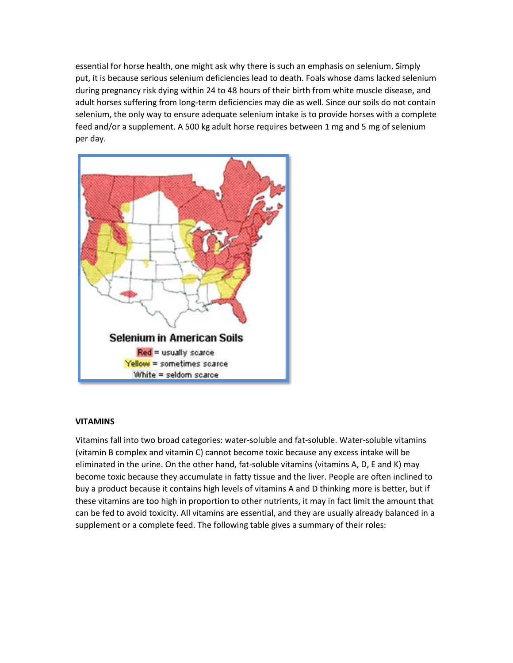essential for horse health, one might ask why there is such an emphasis on selenium. Simply put, it is because serious selenium deficiencies lead to death. Foals whose dams lacked selenium during pregnancy risk dying within 24 to 48 hours of their birth from white muscle disease, and adult horses suffering from long-term deficiencies may die as well. Since our soils do not contain selenium, the only way to ensure adequate selenium intake is to provide horses with a complete feed and/or a supplement. A 500 kg adult horse requires between 1 mg and 5 mg of selenium per day.



## **VITAMINS**

Vitamins fall into two broad categories: water-soluble and fat-soluble. Water-soluble vitamins (vitamin B complex and vitamin C) cannot become toxic because any excess intake will be eliminated in the urine. On the other hand, fat-soluble vitamins (vitamins A, D, E and K) may become toxic because they accumulate in fatty tissue and the liver. People are often inclined to buy a product because it contains high levels of vitamins A and D thinking more is better, but if these vitamins are too high in proportion to other nutrients, it may in fact limit the amount that can be fed to avoid toxicity. All vitamins are essential, and they are usually already balanced in a supplement or a complete feed. The following table gives a summary of their roles: